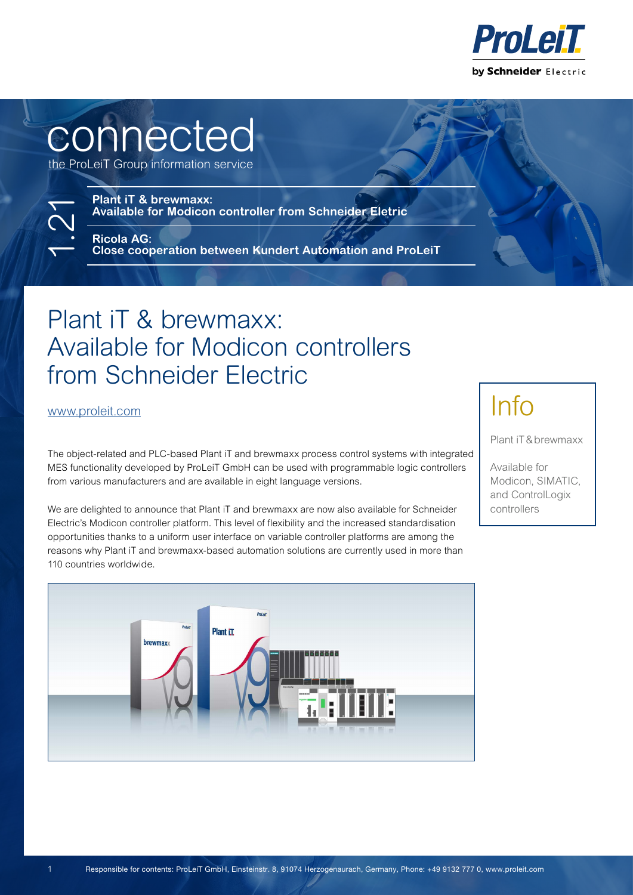

# connected

the ProLeiT Group information service

**Plant iT & brewmaxx: Available for Modicon controller from Schneider Eletric**

**Ricola AG: Close cooperation between Kundert Automation and ProLeiT**

## Plant iT & brewmaxx: Available for Modicon controllers from Schneider Electric

[www.proleit.com](https://www.proleit.com/)

1.21

The object-related and PLC-based Plant iT and brewmaxx process control systems with integrated MES functionality developed by ProLeiT GmbH can be used with programmable logic controllers from various manufacturers and are available in eight language versions.

We are delighted to announce that Plant iT and brewmaxx are now also available for Schneider Electric's Modicon controller platform. This level of flexibility and the increased standardisation opportunities thanks to a uniform user interface on variable controller platforms are among the reasons why Plant iT and brewmaxx-based automation solutions are currently used in more than 110 countries worldwide.

# Info

Plant iT&brewmaxx

Available for Modicon, SIMATIC, and ControlLogix controllers